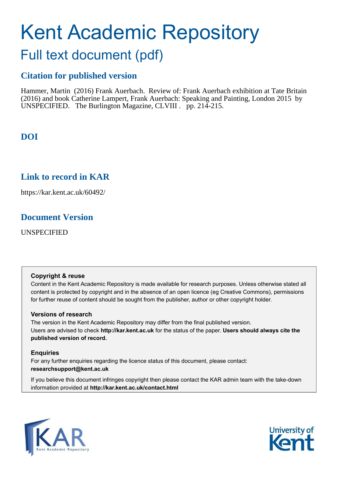# Kent Academic Repository

## Full text document (pdf)

## **Citation for published version**

Hammer, Martin (2016) Frank Auerbach. Review of: Frank Auerbach exhibition at Tate Britain (2016) and book Catherine Lampert, Frank Auerbach: Speaking and Painting, London 2015 by UNSPECIFIED. The Burlington Magazine, CLVIII. pp. 214-215.

## **DOI**

## **Link to record in KAR**

https://kar.kent.ac.uk/60492/

## **Document Version**

UNSPECIFIED

#### **Copyright & reuse**

Content in the Kent Academic Repository is made available for research purposes. Unless otherwise stated all content is protected by copyright and in the absence of an open licence (eg Creative Commons), permissions for further reuse of content should be sought from the publisher, author or other copyright holder.

#### **Versions of research**

The version in the Kent Academic Repository may differ from the final published version. Users are advised to check **http://kar.kent.ac.uk** for the status of the paper. **Users should always cite the published version of record.**

#### **Enquiries**

For any further enquiries regarding the licence status of this document, please contact: **researchsupport@kent.ac.uk**

If you believe this document infringes copyright then please contact the KAR admin team with the take-down information provided at **http://kar.kent.ac.uk/contact.html**



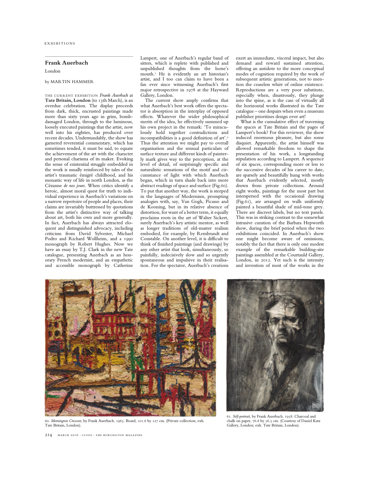#### **Frank Auerbach**

London

#### by MARTIN HAMMER

THE CURRENT EXHIBITION *Frank Auerbach* at **Tate Britain, London** (to 13th March), is an overdue celebration. The display proceeds from dark, thick, encrusted paintings made more than sixty years ago in grim, bombdamaged London, through to the luminous, loosely executed paintings that the artist, now well into his eighties, has produced over recent decades. Understandably, the show has garnered reverential commentary, which has sometimes tended, it must be said, to equate the achievement of the art with the character and personal charisma of its maker. Evoking the sense of existential struggle embedded in the work is usually reinforced by tales of the artist's traumatic émigré childhood, and his monastic way of life in north London, as the Cézanne *de nos jours*. When critics identify a heroic, almost moral quest for truth to individual experience in Auerbach's variations on a narrow repertoire of people and places, their claims are invariably buttressed by quotations from the artist's distinctive way of talking about art, both his own and more generally. In fact, Auerbach has always attracted eloquent and distinguished advocacy, including criticism from David Sylvester, Michael Podro and Richard Wollheim, and a 1990 monograph by Robert Hughes. Now we have an essay by T.J. Clark in the new Tate catalogue, presenting Auerbach as an honorary French modernist, and an empathetic and accessible monograph by Catherine

 Lampert, one of Auerbach's regular band of sitters, which is replete with published and unpublished thoughts from the horse's mouth.<sup>1</sup> He is evidently an art historian's artist, and I too can claim to have been a fan ever since witnessing Auerbach's first major retrospective in 1978 at the Hayward Gallery, London.

The current show amply confirms that what Auerbach's best work offers the spectator is absorption in the interplay of opposed effects. Whatever the wider philosophical merits of the idea, he effectively summed up his own project in the remark: 'To miraculously hold together contradictions and incompatibilities is a good definition of art'.<sup>2</sup> Thus the attention we might pay to overall organisation and the sensual particulars of surface texture and different kinds of painterly mark gives way to the perception, at the level of detail, of surprisingly specific and naturalistic sensations of the motif and circumstance of light with which Auerbach began, which in turn shade back into more abstract readings of space and surface (Fig.60). To put that another way, the work is steeped in the languages of Modernism, prompting analogies with, say, Van Gogh, Picasso and de Kooning, but in its relative absence of distortion, for want of a better term, it equally proclaims roots in the art of Walter Sickert, surely Auerbach's key artistic mentor, as well as longer traditions of old-master realism embodied, for example, by Rembrandt and Constable. On another level, it is difficult to think of finished paintings (and drawings) by any other artist that look, simultaneously, so painfully, indecisively slow and so urgently spontaneous and impulsive in their realisation. For the spectator, Auerbach's creations

exert an immediate, visceral impact, but also demand and reward sustained attention, offering an antidote to the more conceptual modes of cognition required by the work of subsequent artistic generations, not to mention the ceaseless whirr of online existence. Reproductions are a very poor substitute, especially when, disastrously, they plunge into the spine, as is the case of virtually all the horizontal works illustrated in the Tate catalogue – one despairs when even a museum publisher prioritises design over art!

What is the cumulative effect of traversing the spaces at Tate Britain and the pages of Lampert's book? For this reviewer, the show induced enormous pleasure, but also some disquiet. Apparently, the artist himself was allowed remarkable freedom to shape the presentation of his work, a longstanding stipulation according to Lampert. A sequence of six spaces, corresponding more or less to the successive decades of his career to date, are sparsely and beautifully hung with works that Auerbach evidently selected, mostly drawn from private collections. Around eight works, paintings for the most part but interspersed with the occasional drawing (Fig.61), are arranged on walls uniformly painted a beautiful shade of mid-tone grey. There are discreet labels, but no text panels. This was in striking contrast to the somewhat intrusive curation of the Barbara Hepworth show, during the brief period when the two exhibitions coincided. In Auerbach's show one might become aware of omissions, notably the fact that there is only one modest example of the remarkable building-site paintings assembled at the Courtauld Gallery, London, in 2012. Yet such is the intensity and invention of most of the works in the



60. *Mornington Crescent*, by Frank Auerbach. 1965. Board, 101.6 by 127 cm. (Private collection; exh. Tate Britain, London).



61. *Self-portrait*, by Frank Auerbach. 1958. Charcoal and chalk on paper, 76.8 by 56.5 cm. (Courtesy of Daniel Katz Gallery, London; exh. Tate Britain, London).